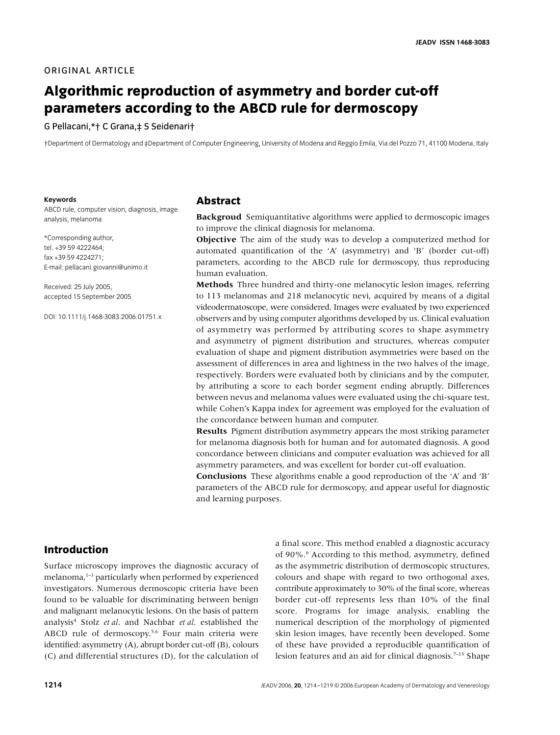#### **ORIGINAL ARTICLE**

# **Algorithmic reproduction of asymmetry and border cut-off parameters according to the ABCD rule for dermoscopy**

#### G Pellacani,\*† C Grana,‡ S Seidenari†

†Department of Dermatology and ‡Department of Computer Engineering, University of Modena and Reggio Emila, Via del Pozzo 71, 41100 Modena, Italy

#### **Keywords**

ABCD rule, computer vision, diagnosis, image analysis, melanoma

\*Corresponding author, tel. +39 59 4222464; fax +39 59 4224271; E-mail: pellacani.giovanni@unimo.it

Received: 25 July 2005, accepted 15 September 2005

DOI: 10.1111/j.1468-3083.2006.01751.x

### **Abstract**

**Backgroud** Semiquantitative algorithms were applied to dermoscopic images to improve the clinical diagnosis for melanoma.

**Objective** The aim of the study was to develop a computerized method for automated quantification of the 'A' (asymmetry) and 'B' (border cut-off) parameters, according to the ABCD rule for dermoscopy, thus reproducing human evaluation.

**Methods** Three hundred and thirty-one melanocytic lesion images, referring to 113 melanomas and 218 melanocytic nevi, acquired by means of a digital videodermatoscope, were considered. Images were evaluated by two experienced observers and by using computer algorithms developed by us. Clinical evaluation of asymmetry was performed by attributing scores to shape asymmetry and asymmetry of pigment distribution and structures, whereas computer evaluation of shape and pigment distribution asymmetries were based on the assessment of differences in area and lightness in the two halves of the image, respectively. Borders were evaluated both by clinicians and by the computer, by attributing a score to each border segment ending abruptly. Differences between nevus and melanoma values were evaluated using the chi-square test, while Cohen's Kappa index for agreement was employed for the evaluation of the concordance between human and computer.

**Results** Pigment distribution asymmetry appears the most striking parameter for melanoma diagnosis both for human and for automated diagnosis. A good concordance between clinicians and computer evaluation was achieved for all asymmetry parameters, and was excellent for border cut-off evaluation.

**Conclusions** These algorithms enable a good reproduction of the 'A' and 'B' parameters of the ABCD rule for dermoscopy, and appear useful for diagnostic and learning purposes.

## **Introduction**

Surface microscopy improves the diagnostic accuracy of melanoma,<sup>1-3</sup> particularly when performed by experienced investigators. Numerous dermoscopic criteria have been found to be valuable for discriminating between benign and malignant melanocytic lesions. On the basis of pattern analysis4 Stolz *et al*. and Nachbar *et al*. established the ABCD rule of dermoscopy.<sup>5,6</sup> Four main criteria were identified: asymmetry (A), abrupt border cut-off (B), colours (C) and differential structures (D), for the calculation of a final score. This method enabled a diagnostic accuracy of 90%.<sup>6</sup> According to this method, asymmetry, defined as the asymmetric distribution of dermoscopic structures, colours and shape with regard to two orthogonal axes, contribute approximately to 30% of the final score, whereas border cut-off represents less than 10% of the final score. Programs for image analysis, enabling the numerical description of the morphology of pigmented skin lesion images, have recently been developed. Some of these have provided a reproducible quantification of lesion features and an aid for clinical diagnosis.7–15 Shape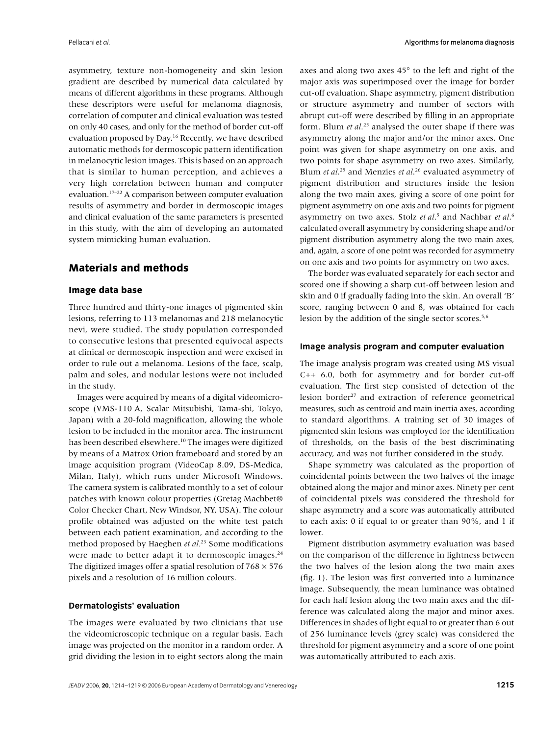asymmetry, texture non-homogeneity and skin lesion gradient are described by numerical data calculated by means of different algorithms in these programs. Although these descriptors were useful for melanoma diagnosis, correlation of computer and clinical evaluation was tested on only 40 cases, and only for the method of border cut-off evaluation proposed by Day.<sup>16</sup> Recently, we have described automatic methods for dermoscopic pattern identification in melanocytic lesion images. This is based on an approach that is similar to human perception, and achieves a very high correlation between human and computer evaluation.17–22 A comparison between computer evaluation results of asymmetry and border in dermoscopic images and clinical evaluation of the same parameters is presented in this study, with the aim of developing an automated system mimicking human evaluation.

## **Materials and methods**

#### **Image data base**

Three hundred and thirty-one images of pigmented skin lesions, referring to 113 melanomas and 218 melanocytic nevi, were studied. The study population corresponded to consecutive lesions that presented equivocal aspects at clinical or dermoscopic inspection and were excised in order to rule out a melanoma. Lesions of the face, scalp, palm and soles, and nodular lesions were not included in the study.

Images were acquired by means of a digital videomicroscope (VMS-110 A, Scalar Mitsubishi, Tama-shi, Tokyo, Japan) with a 20-fold magnification, allowing the whole lesion to be included in the monitor area. The instrument has been described elsewhere.<sup>10</sup> The images were digitized by means of a Matrox Orion frameboard and stored by an image acquisition program (VideoCap 8.09, DS-Medica, Milan, Italy), which runs under Microsoft Windows. The camera system is calibrated monthly to a set of colour patches with known colour properties (Gretag Machbet® Color Checker Chart, New Windsor, NY, USA). The colour profile obtained was adjusted on the white test patch between each patient examination, and according to the method proposed by Haeghen *et al.*23 Some modifications were made to better adapt it to dermoscopic images.<sup>24</sup> The digitized images offer a spatial resolution of  $768 \times 576$ pixels and a resolution of 16 million colours.

#### **Dermatologists' evaluation**

The images were evaluated by two clinicians that use the videomicroscopic technique on a regular basis. Each image was projected on the monitor in a random order. A grid dividing the lesion in to eight sectors along the main axes and along two axes 45° to the left and right of the major axis was superimposed over the image for border cut-off evaluation. Shape asymmetry, pigment distribution or structure asymmetry and number of sectors with abrupt cut-off were described by filling in an appropriate form. Blum *et al*. 25 analysed the outer shape if there was asymmetry along the major and/or the minor axes. One point was given for shape asymmetry on one axis, and two points for shape asymmetry on two axes. Similarly, Blum *et al*. 25 and Menzies *et al*. 26 evaluated asymmetry of pigment distribution and structures inside the lesion along the two main axes, giving a score of one point for pigment asymmetry on one axis and two points for pigment asymmetry on two axes. Stolz *et al*. 5 and Nachbar *et al*. 6 calculated overall asymmetry by considering shape and/or pigment distribution asymmetry along the two main axes, and, again, a score of one point was recorded for asymmetry on one axis and two points for asymmetry on two axes.

The border was evaluated separately for each sector and scored one if showing a sharp cut-off between lesion and skin and 0 if gradually fading into the skin. An overall 'B' score, ranging between 0 and 8, was obtained for each lesion by the addition of the single sector scores.<sup>5,6</sup>

#### **Image analysis program and computer evaluation**

The image analysis program was created using MS visual C++ 6.0, both for asymmetry and for border cut-off evaluation. The first step consisted of detection of the lesion border<sup>27</sup> and extraction of reference geometrical measures, such as centroid and main inertia axes, according to standard algorithms. A training set of 30 images of pigmented skin lesions was employed for the identification of thresholds, on the basis of the best discriminating accuracy, and was not further considered in the study.

Shape symmetry was calculated as the proportion of coincidental points between the two halves of the image obtained along the major and minor axes. Ninety per cent of coincidental pixels was considered the threshold for shape asymmetry and a score was automatically attributed to each axis: 0 if equal to or greater than 90%, and 1 if lower.

Pigment distribution asymmetry evaluation was based on the comparison of the difference in lightness between the two halves of the lesion along the two main axes (fig. 1). The lesion was first converted into a luminance image. Subsequently, the mean luminance was obtained for each half lesion along the two main axes and the difference was calculated along the major and minor axes. Differences in shades of light equal to or greater than 6 out of 256 luminance levels (grey scale) was considered the threshold for pigment asymmetry and a score of one point was automatically attributed to each axis.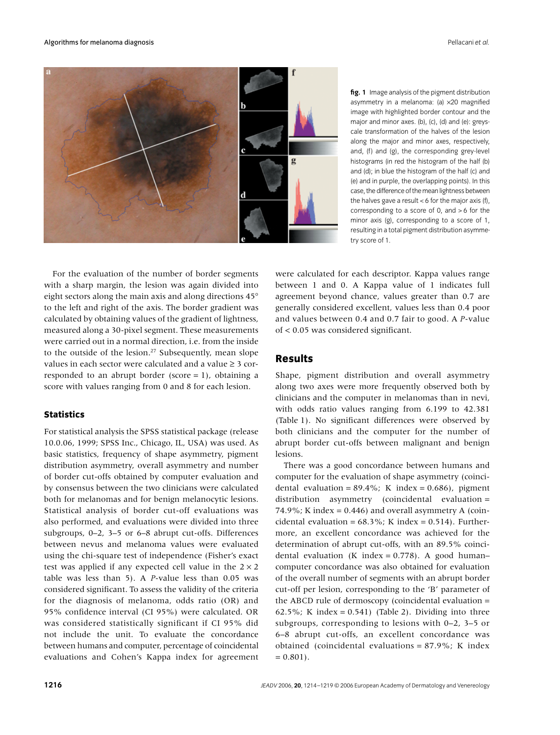

**fig. 1** Image analysis of the pigment distribution asymmetry in a melanoma: (a) ×20 magnified image with highlighted border contour and the major and minor axes. (b), (c), (d) and (e): greyscale transformation of the halves of the lesion along the major and minor axes, respectively, and, (f) and (g), the corresponding grey-level histograms (in red the histogram of the half (b) and (d); in blue the histogram of the half (c) and (e) and in purple, the overlapping points). In this case, the difference of the mean lightness between the halves gave a result  $< 6$  for the major axis (f), corresponding to a score of 0, and > 6 for the minor axis (g), corresponding to a score of 1, resulting in a total pigment distribution asymmetry score of 1.

For the evaluation of the number of border segments with a sharp margin, the lesion was again divided into eight sectors along the main axis and along directions 45° to the left and right of the axis. The border gradient was calculated by obtaining values of the gradient of lightness, measured along a 30-pixel segment. These measurements were carried out in a normal direction, i.e. from the inside to the outside of the lesion.<sup>27</sup> Subsequently, mean slope values in each sector were calculated and a value ≥ 3 corresponded to an abrupt border (score  $= 1$ ), obtaining a score with values ranging from 0 and 8 for each lesion.

## **Statistics**

For statistical analysis the SPSS statistical package (release 10.0.06, 1999; SPSS Inc., Chicago, IL, USA) was used. As basic statistics, frequency of shape asymmetry, pigment distribution asymmetry, overall asymmetry and number of border cut-offs obtained by computer evaluation and by consensus between the two clinicians were calculated both for melanomas and for benign melanocytic lesions. Statistical analysis of border cut-off evaluations was also performed, and evaluations were divided into three subgroups, 0–2, 3–5 or 6–8 abrupt cut-offs. Differences between nevus and melanoma values were evaluated using the chi-square test of independence (Fisher's exact test was applied if any expected cell value in the  $2 \times 2$ table was less than 5). A *P*-value less than 0.05 was considered significant. To assess the validity of the criteria for the diagnosis of melanoma, odds ratio (OR) and 95% confidence interval (CI 95%) were calculated. OR was considered statistically significant if CI 95% did not include the unit. To evaluate the concordance between humans and computer, percentage of coincidental evaluations and Cohen's Kappa index for agreement

were calculated for each descriptor. Kappa values range between 1 and 0. A Kappa value of 1 indicates full agreement beyond chance, values greater than 0.7 are generally considered excellent, values less than 0.4 poor and values between 0.4 and 0.7 fair to good. A *P*-value of < 0.05 was considered significant.

## **Results**

Shape, pigment distribution and overall asymmetry along two axes were more frequently observed both by clinicians and the computer in melanomas than in nevi, with odds ratio values ranging from 6.199 to 42.381 (Table 1). No significant differences were observed by both clinicians and the computer for the number of abrupt border cut-offs between malignant and benign lesions.

There was a good concordance between humans and computer for the evaluation of shape asymmetry (coincidental evaluation =  $89.4\%$ ; K index = 0.686), pigment distribution asymmetry (coincidental evaluation = 74.9%; K index =  $0.446$ ) and overall asymmetry A (coincidental evaluation =  $68.3\%$ ; K index = 0.514). Furthermore, an excellent concordance was achieved for the determination of abrupt cut-offs, with an 89.5% coincidental evaluation (K index =  $0.778$ ). A good human– computer concordance was also obtained for evaluation of the overall number of segments with an abrupt border cut-off per lesion, corresponding to the 'B' parameter of the ABCD rule of dermoscopy (coincidental evaluation = 62.5%; K index =  $0.541$ ) (Table 2). Dividing into three subgroups, corresponding to lesions with 0–2, 3–5 or 6–8 abrupt cut-offs, an excellent concordance was obtained (coincidental evaluations = 87.9%; K index  $= 0.801$ .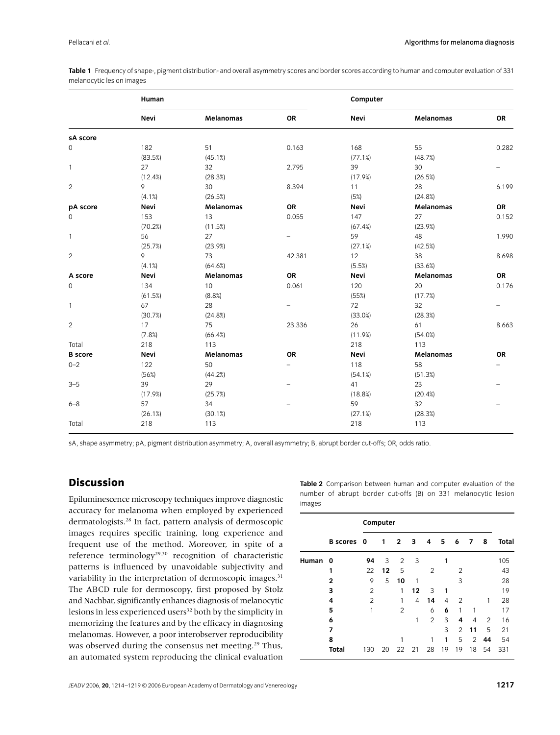**Table 1** Frequency of shape-, pigment distribution- and overall asymmetry scores and border scores according to human and computer evaluation of 331 melanocytic lesion images

|                | Human   |                  |                          | Computer |                  |           |  |  |  |
|----------------|---------|------------------|--------------------------|----------|------------------|-----------|--|--|--|
|                | Nevi    | <b>Melanomas</b> | OR                       | Nevi     | <b>Melanomas</b> | OR        |  |  |  |
| sA score       |         |                  |                          |          |                  |           |  |  |  |
| 0              | 182     | 51               | 0.163                    | 168      | 55               | 0.282     |  |  |  |
|                | (83.5%) | (45.1%)          |                          | (77.1%)  | (48.7%)          |           |  |  |  |
| $\mathbf{1}$   | 27      | 32               | 2.795                    | 39       | 30               |           |  |  |  |
|                | (12.4%) | (28.3%)          |                          | (17.9%)  | (26.5%)          |           |  |  |  |
| $\overline{2}$ | 9       | 30               | 8.394                    | 11       | 28               | 6.199     |  |  |  |
|                | (4.1%)  | (26.5%)          |                          | (5%)     | (24.8%)          |           |  |  |  |
| pA score       | Nevi    | <b>Melanomas</b> | OR                       | Nevi     | <b>Melanomas</b> | OR        |  |  |  |
| 0              | 153     | 13               | 0.055                    | 147      | 27               | 0.152     |  |  |  |
|                | (70.2%) | (11.5%)          |                          | (67.4%)  | (23.9%)          |           |  |  |  |
| $\mathbf{1}$   | 56      | 27               |                          | 59       | 48               | 1.990     |  |  |  |
|                | (25.7%) | (23.9%)          |                          | (27.1%)  | (42.5%)          |           |  |  |  |
| $\overline{c}$ | 9       | 73               | 42.381                   | 12       | 38               | 8.698     |  |  |  |
|                | (4.1%)  | (64.6%)          |                          | (5.5%)   | (33.6%)          |           |  |  |  |
| A score        | Nevi    | <b>Melanomas</b> | OR                       | Nevi     | Melanomas        | OR        |  |  |  |
| 0              | 134     | 10               | 0.061                    | 120      | 20               | 0.176     |  |  |  |
|                | (61.5%) | (8.8%)           |                          | (55%)    | (17.7%)          |           |  |  |  |
| $\mathbf{1}$   | 67      | 28               |                          | 72       | 32               |           |  |  |  |
|                | (30.7%) | (24.8%)          |                          | (33.0%)  | (28.3%)          |           |  |  |  |
| $\overline{c}$ | 17      | 75               | 23.336                   | 26       | 61               | 8.663     |  |  |  |
|                | (7.8%)  | (66.4%)          |                          | (11.9%)  | (54.0%)          |           |  |  |  |
| Total          | 218     | 113              |                          | 218      | 113              |           |  |  |  |
| <b>B</b> score | Nevi    | <b>Melanomas</b> | <b>OR</b>                | Nevi     | <b>Melanomas</b> | <b>OR</b> |  |  |  |
| $0 - 2$        | 122     | 50               | $\overline{\phantom{0}}$ | 118      | 58               |           |  |  |  |
|                | (56%)   | (44.2%)          |                          | (54.1%)  | (51.3%)          |           |  |  |  |
| $3 - 5$        | 39      | 29               |                          | 41       | 23               |           |  |  |  |
|                | (17.9%) | (25.7%)          |                          | (18.8%)  | (20.4%)          |           |  |  |  |
| $6 - 8$        | 57      | 34               |                          | 59       | 32               | -         |  |  |  |
|                | (26.1%) | (30.1%)          |                          | (27.1%)  | (28.3%)          |           |  |  |  |
| Total          | 218     | 113              |                          | 218      | 113              |           |  |  |  |

sA, shape asymmetry; pA, pigment distribution asymmetry; A, overall asymmetry; B, abrupt border cut-offs; OR, odds ratio.

## **Discussion**

Epiluminescence microscopy techniques improve diagnostic accuracy for melanoma when employed by experienced dermatologists.28 In fact, pattern analysis of dermoscopic images requires specific training, long experience and frequent use of the method. Moreover, in spite of a reference terminology29,30 recognition of characteristic patterns is influenced by unavoidable subjectivity and variability in the interpretation of dermoscopic images.<sup>31</sup> The ABCD rule for dermoscopy, first proposed by Stolz and Nachbar, significantly enhances diagnosis of melanocytic lesions in less experienced users<sup>32</sup> both by the simplicity in memorizing the features and by the efficacy in diagnosing melanomas. However, a poor interobserver reproducibility was observed during the consensus net meeting.29 Thus, an automated system reproducing the clinical evaluation

**Table 2** Comparison between human and computer evaluation of the number of abrupt border cut-offs (B) on 331 melanocytic lesion images

|       |              | Computer       |    |                |    |                |    |                |                |    |              |
|-------|--------------|----------------|----|----------------|----|----------------|----|----------------|----------------|----|--------------|
|       | B scores 0   |                | 1  | $\mathbf{2}$   | 3  | 4              | 5  | 6              | 7              | 8  | <b>Total</b> |
| Human | 0            | 94             | 3  | 2              | 3  |                | 1  |                |                |    | 105          |
|       | 1            | 22             | 12 | 5              |    | 2              |    | $\overline{2}$ |                |    | 43           |
|       | 2            | 9              | 5  | 10             | 1  |                |    | 3              |                |    | 28           |
|       | 3            | 2              |    | 1              | 12 | 3              | 1  |                |                |    | 19           |
|       | 4            | $\overline{2}$ |    | 1              | 4  | 14             | 4  | $\mathfrak{p}$ |                | 1  | 28           |
|       | 5            | 1              |    | $\overline{2}$ |    | 6              | 6  | 1              | 1              |    | 17           |
|       | 6            |                |    |                | 1  | $\overline{2}$ | 3  | 4              | 4              | 2  | 16           |
|       | 7            |                |    |                |    |                | 3  | $\overline{2}$ | 11             | 5  | 21           |
|       | 8            |                |    |                |    |                | 1  | 5              | $\overline{2}$ | 44 | 54           |
|       | <b>Total</b> | 130            | 20 | 22             | 21 | 28             | 19 | 19             | 18             | 54 | 331          |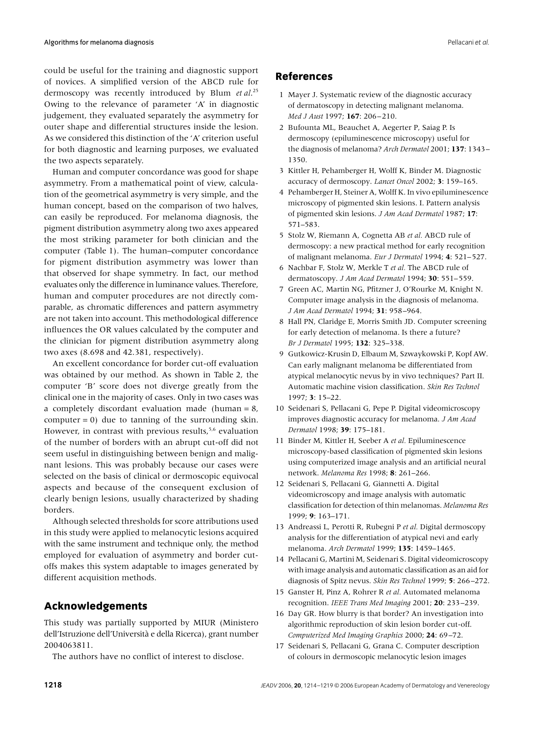could be useful for the training and diagnostic support of novices. A simplified version of the ABCD rule for dermoscopy was recently introduced by Blum *et al*. 25 Owing to the relevance of parameter 'A' in diagnostic judgement, they evaluated separately the asymmetry for outer shape and differential structures inside the lesion. As we considered this distinction of the 'A' criterion useful for both diagnostic and learning purposes, we evaluated the two aspects separately.

Human and computer concordance was good for shape asymmetry. From a mathematical point of view, calculation of the geometrical asymmetry is very simple, and the human concept, based on the comparison of two halves, can easily be reproduced. For melanoma diagnosis, the pigment distribution asymmetry along two axes appeared the most striking parameter for both clinician and the computer (Table 1). The human–computer concordance for pigment distribution asymmetry was lower than that observed for shape symmetry. In fact, our method evaluates only the difference in luminance values. Therefore, human and computer procedures are not directly comparable, as chromatic differences and pattern asymmetry are not taken into account. This methodological difference influences the OR values calculated by the computer and the clinician for pigment distribution asymmetry along two axes (8.698 and 42.381, respectively).

An excellent concordance for border cut-off evaluation was obtained by our method. As shown in Table 2, the computer 'B' score does not diverge greatly from the clinical one in the majority of cases. Only in two cases was a completely discordant evaluation made (human = 8, computer  $= 0$ ) due to tanning of the surrounding skin. However, in contrast with previous results, $5.6$  evaluation of the number of borders with an abrupt cut-off did not seem useful in distinguishing between benign and malignant lesions. This was probably because our cases were selected on the basis of clinical or dermoscopic equivocal aspects and because of the consequent exclusion of clearly benign lesions, usually characterized by shading borders.

Although selected thresholds for score attributions used in this study were applied to melanocytic lesions acquired with the same instrument and technique only, the method employed for evaluation of asymmetry and border cutoffs makes this system adaptable to images generated by different acquisition methods.

## **Acknowledgements**

This study was partially supported by MIUR (Ministero dell'Istruzione dell'Università e della Ricerca), grant number 2004063811.

The authors have no conflict of interest to disclose.

### **References**

- 1 Mayer J. Systematic review of the diagnostic accuracy of dermatoscopy in detecting malignant melanoma. *Med J Aust* 1997; **167**: 206–210.
- 2 Bufounta ML, Beauchet A, Aegerter P, Saiag P. Is dermoscopy (epiluminescence microscopy) useful for the diagnosis of melanoma? *Arch Dermatol* 2001; **137**: 1343– 1350.
- 3 Kittler H, Pehamberger H, Wolff K, Binder M. Diagnostic accuracy of dermoscopy. *Lancet Oncol* 2002; **3**: 159–165.
- 4 Pehamberger H, Steiner A, Wolff K. In vivo epiluminescence microscopy of pigmented skin lesions. I. Pattern analysis of pigmented skin lesions. *J Am Acad Dermatol* 1987; **17**: 571–583.
- 5 Stolz W, Riemann A, Cognetta AB *et al.* ABCD rule of dermoscopy: a new practical method for early recognition of malignant melanoma. *Eur J Dermatol* 1994; **4**: 521–527.
- 6 Nachbar F, Stolz W, Merkle T *et al.* The ABCD rule of dermatoscopy. *J Am Acad Dermatol* 1994; **30**: 551–559.
- 7 Green AC, Martin NG, Pfitzner J, O'Rourke M, Knight N. Computer image analysis in the diagnosis of melanoma. *J Am Acad Dermatol* 1994; **31**: 958–964.
- 8 Hall PN, Claridge E, Morris Smith JD. Computer screening for early detection of melanoma. Is there a future? *Br J Dermatol* 1995; **132**: 325–338.
- 9 Gutkowicz-Krusin D, Elbaum M, Szwaykowski P, Kopf AW. Can early malignant melanoma be differentiated from atypical melanocytic nevus by in vivo techniques? Part II. Automatic machine vision classification. *Skin Res Technol* 1997; **3**: 15–22.
- 10 Seidenari S, Pellacani G, Pepe P. Digital videomicroscopy improves diagnostic accuracy for melanoma. *J Am Acad Dermatol* 1998; **39**: 175–181.
- 11 Binder M, Kittler H, Seeber A *et al.* Epiluminescence microscopy-based classification of pigmented skin lesions using computerized image analysis and an artificial neural network. *Melanoma Res* 1998; **8**: 261–266.
- 12 Seidenari S, Pellacani G, Giannetti A. Digital videomicroscopy and image analysis with automatic classification for detection of thin melanomas. *Melanoma Res* 1999; **9**: 163–171.
- 13 Andreassi L, Perotti R, Rubegni P *et al.* Digital dermoscopy analysis for the differentiation of atypical nevi and early melanoma. *Arch Dermatol* 1999; **135**: 1459–1465.
- 14 Pellacani G, Martini M, Seidenari S. Digital videomicroscopy with image analysis and automatic classification as an aid for diagnosis of Spitz nevus. *Skin Res Technol* 1999; **5**: 266–272.
- 15 Ganster H, Pinz A, Rohrer R *et al.* Automated melanoma recognition. *IEEE Trans Med Imaging* 2001; **20**: 233–239.
- 16 Day GR. How blurry is that border? An investigation into algorithmic reproduction of skin lesion border cut-off. *Computerized Med Imaging Graphics* 2000; **24**: 69–72.
- 17 Seidenari S, Pellacani G, Grana C. Computer description of colours in dermoscopic melanocytic lesion images